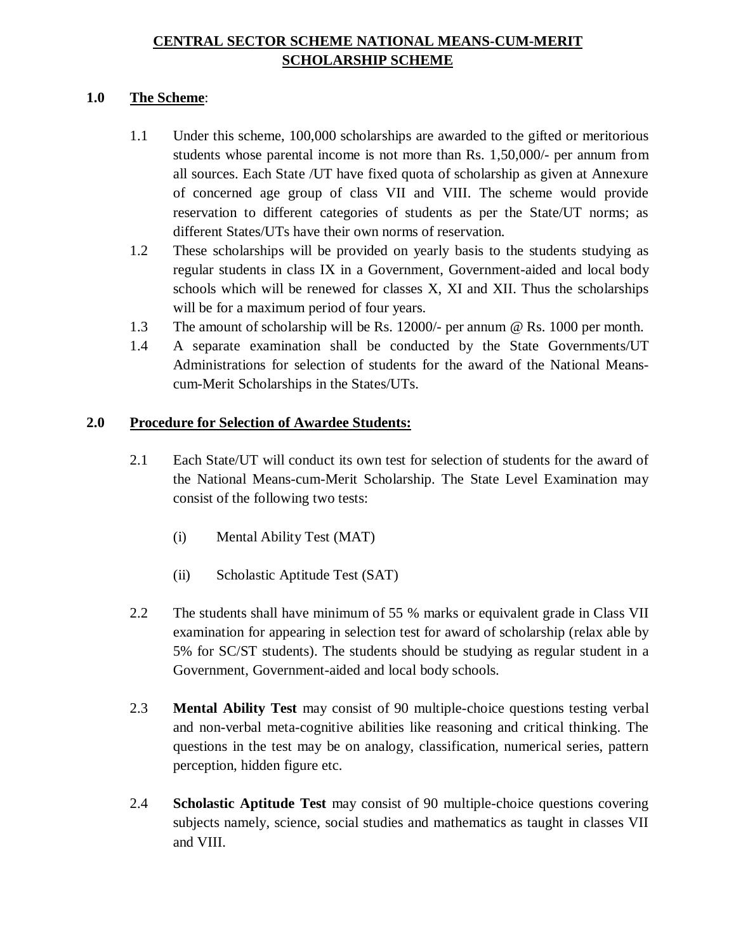# **CENTRAL SECTOR SCHEME NATIONAL MEANS-CUM-MERIT SCHOLARSHIP SCHEME**

### **1.0 The Scheme**:

- 1.1 Under this scheme, 100,000 scholarships are awarded to the gifted or meritorious students whose parental income is not more than Rs. 1,50,000/- per annum from all sources. Each State /UT have fixed quota of scholarship as given at Annexure of concerned age group of class VII and VIII. The scheme would provide reservation to different categories of students as per the State/UT norms; as different States/UTs have their own norms of reservation.
- 1.2 These scholarships will be provided on yearly basis to the students studying as regular students in class IX in a Government, Government-aided and local body schools which will be renewed for classes X, XI and XII. Thus the scholarships will be for a maximum period of four years.
- 1.3 The amount of scholarship will be Rs. 12000/- per annum @ Rs. 1000 per month.
- 1.4 A separate examination shall be conducted by the State Governments/UT Administrations for selection of students for the award of the National Meanscum-Merit Scholarships in the States/UTs.

## **2.0 Procedure for Selection of Awardee Students:**

- 2.1 Each State/UT will conduct its own test for selection of students for the award of the National Means-cum-Merit Scholarship. The State Level Examination may consist of the following two tests:
	- (i) Mental Ability Test (MAT)
	- (ii) Scholastic Aptitude Test (SAT)
- 2.2 The students shall have minimum of 55 % marks or equivalent grade in Class VII examination for appearing in selection test for award of scholarship (relax able by 5% for SC/ST students). The students should be studying as regular student in a Government, Government-aided and local body schools.
- 2.3 **Mental Ability Test** may consist of 90 multiple-choice questions testing verbal and non-verbal meta-cognitive abilities like reasoning and critical thinking. The questions in the test may be on analogy, classification, numerical series, pattern perception, hidden figure etc.
- 2.4 **Scholastic Aptitude Test** may consist of 90 multiple-choice questions covering subjects namely, science, social studies and mathematics as taught in classes VII and VIII.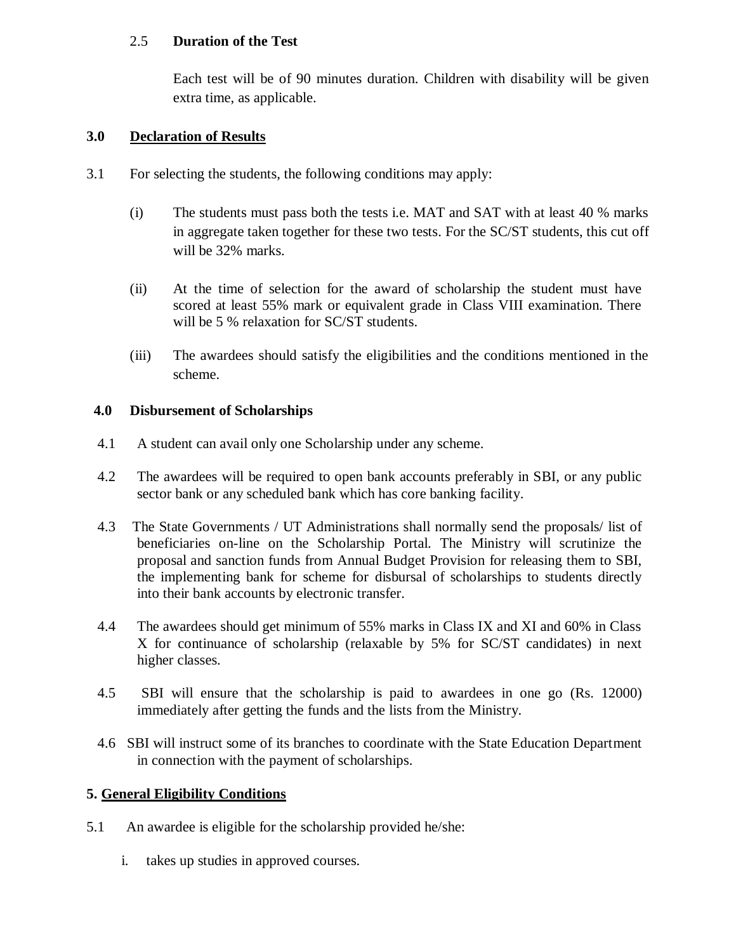## 2.5 **Duration of the Test**

Each test will be of 90 minutes duration. Children with disability will be given extra time, as applicable.

### **3.0 Declaration of Results**

- 3.1 For selecting the students, the following conditions may apply:
	- (i) The students must pass both the tests i.e. MAT and SAT with at least 40 % marks in aggregate taken together for these two tests. For the SC/ST students, this cut off will be 32% marks.
	- (ii) At the time of selection for the award of scholarship the student must have scored at least 55% mark or equivalent grade in Class VIII examination. There will be 5 % relaxation for SC/ST students.
	- (iii) The awardees should satisfy the eligibilities and the conditions mentioned in the scheme.

### **4.0 Disbursement of Scholarships**

- 4.1 A student can avail only one Scholarship under any scheme.
- 4.2 The awardees will be required to open bank accounts preferably in SBI, or any public sector bank or any scheduled bank which has core banking facility.
- 4.3 The State Governments / UT Administrations shall normally send the proposals/ list of beneficiaries on-line on the Scholarship Portal. The Ministry will scrutinize the proposal and sanction funds from Annual Budget Provision for releasing them to SBI, the implementing bank for scheme for disbursal of scholarships to students directly into their bank accounts by electronic transfer.
- 4.4 The awardees should get minimum of 55% marks in Class IX and XI and 60% in Class X for continuance of scholarship (relaxable by 5% for SC/ST candidates) in next higher classes.
- 4.5 SBI will ensure that the scholarship is paid to awardees in one go (Rs. 12000) immediately after getting the funds and the lists from the Ministry.
- 4.6 SBI will instruct some of its branches to coordinate with the State Education Department in connection with the payment of scholarships.

#### **5. General Eligibility Conditions**

- 5.1 An awardee is eligible for the scholarship provided he/she:
	- i. takes up studies in approved courses.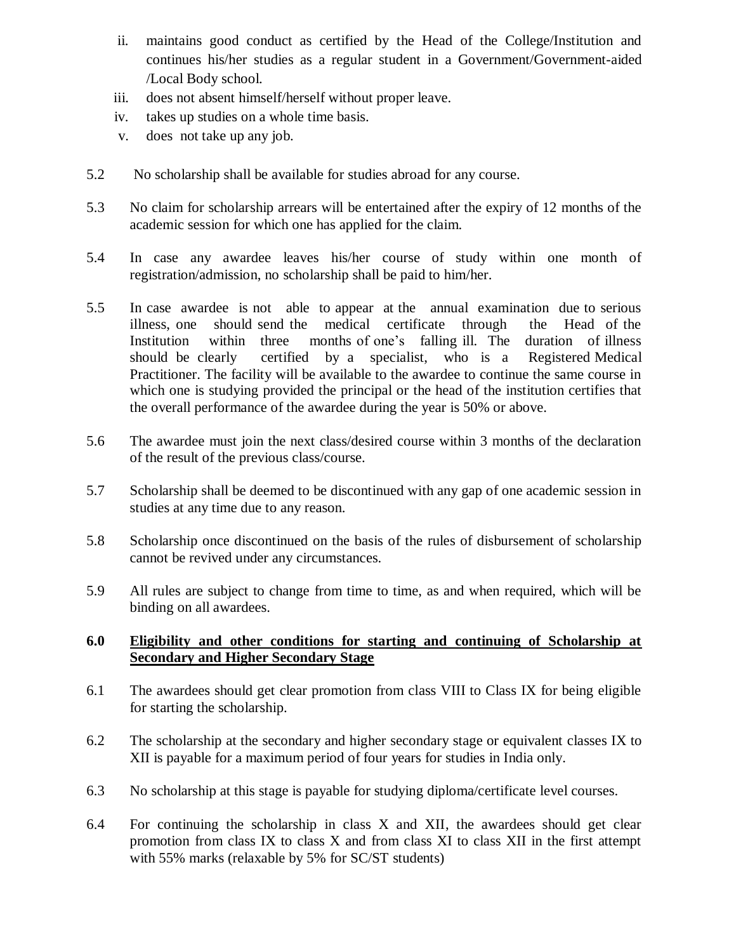- ii. maintains good conduct as certified by the Head of the College/Institution and continues his/her studies as a regular student in a Government/Government-aided /Local Body school.
- iii. does not absent himself/herself without proper leave.
- iv. takes up studies on a whole time basis.
- v. does not take up any job.
- 5.2 No scholarship shall be available for studies abroad for any course.
- 5.3 No claim for scholarship arrears will be entertained after the expiry of 12 months of the academic session for which one has applied for the claim.
- 5.4 In case any awardee leaves his/her course of study within one month of registration/admission, no scholarship shall be paid to him/her.
- 5.5 In case awardee is not able to appear at the annual examination due to serious illness, one should send the medical certificate through the Head of the Institution within three months of one's falling ill. The duration of illness should be clearly certified by a specialist, who is a Registered Medical Practitioner. The facility will be available to the awardee to continue the same course in which one is studying provided the principal or the head of the institution certifies that the overall performance of the awardee during the year is 50% or above.
- 5.6 The awardee must join the next class/desired course within 3 months of the declaration of the result of the previous class/course.
- 5.7 Scholarship shall be deemed to be discontinued with any gap of one academic session in studies at any time due to any reason.
- 5.8 Scholarship once discontinued on the basis of the rules of disbursement of scholarship cannot be revived under any circumstances.
- 5.9 All rules are subject to change from time to time, as and when required, which will be binding on all awardees.

### **6.0 Eligibility and other conditions for starting and continuing of Scholarship at Secondary and Higher Secondary Stage**

- 6.1 The awardees should get clear promotion from class VIII to Class IX for being eligible for starting the scholarship.
- 6.2 The scholarship at the secondary and higher secondary stage or equivalent classes IX to XII is payable for a maximum period of four years for studies in India only.
- 6.3 No scholarship at this stage is payable for studying diploma/certificate level courses.
- 6.4 For continuing the scholarship in class X and XII, the awardees should get clear promotion from class IX to class  $X$  and from class  $X$ I to class  $X$ II in the first attempt with 55% marks (relaxable by 5% for SC/ST students)